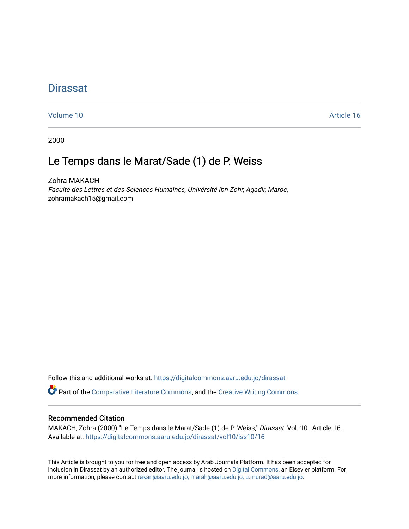# **Dirassat**

[Volume 10](https://digitalcommons.aaru.edu.jo/dirassat/vol10) Article 16

2000

# Le Temps dans le Marat/Sade (1) de P. Weiss

Zohra MAKACH Faculté des Lettres et des Sciences Humaines, Univérsité Ibn Zohr, Agadir, Maroc, zohramakach15@gmail.com

Follow this and additional works at: [https://digitalcommons.aaru.edu.jo/dirassat](https://digitalcommons.aaru.edu.jo/dirassat?utm_source=digitalcommons.aaru.edu.jo%2Fdirassat%2Fvol10%2Fiss10%2F16&utm_medium=PDF&utm_campaign=PDFCoverPages)

Part of the [Comparative Literature Commons](http://network.bepress.com/hgg/discipline/454?utm_source=digitalcommons.aaru.edu.jo%2Fdirassat%2Fvol10%2Fiss10%2F16&utm_medium=PDF&utm_campaign=PDFCoverPages), and the [Creative Writing Commons](http://network.bepress.com/hgg/discipline/574?utm_source=digitalcommons.aaru.edu.jo%2Fdirassat%2Fvol10%2Fiss10%2F16&utm_medium=PDF&utm_campaign=PDFCoverPages) 

### Recommended Citation

MAKACH, Zohra (2000) "Le Temps dans le Marat/Sade (1) de P. Weiss," Dirassat: Vol. 10 , Article 16. Available at: [https://digitalcommons.aaru.edu.jo/dirassat/vol10/iss10/16](https://digitalcommons.aaru.edu.jo/dirassat/vol10/iss10/16?utm_source=digitalcommons.aaru.edu.jo%2Fdirassat%2Fvol10%2Fiss10%2F16&utm_medium=PDF&utm_campaign=PDFCoverPages)

This Article is brought to you for free and open access by Arab Journals Platform. It has been accepted for inclusion in Dirassat by an authorized editor. The journal is hosted on [Digital Commons](https://www.elsevier.com/solutions/digital-commons), an Elsevier platform. For more information, please contact [rakan@aaru.edu.jo, marah@aaru.edu.jo, u.murad@aaru.edu.jo](mailto:rakan@aaru.edu.jo,%20marah@aaru.edu.jo,%20u.murad@aaru.edu.jo).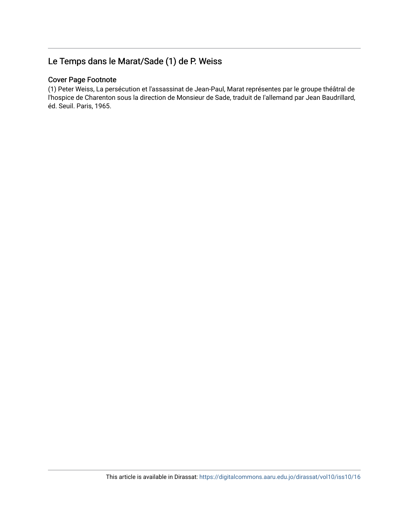# Le Temps dans le Marat/Sade (1) de P. Weiss

### Cover Page Footnote

(1) Peter Weiss, La persécution et l'assassinat de Jean-Paul, Marat représentes par le groupe théâtral de l'hospice de Charenton sous la direction de Monsieur de Sade, traduit de I'allemand par Jean Baudrillard, éd. Seuil. Paris, 1965.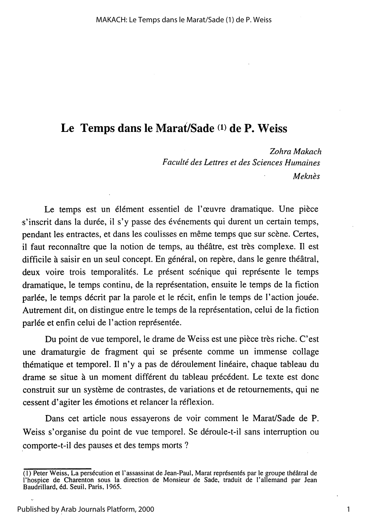## Le Temps dans le Marat/Sade (1) de P. Weiss

Zohra Makach Faculté des Lettres et des Sciences Humaines Meknès

Le temps est un élément essentiel de l'œuvre dramatique. Une pièce s'inscrit dans la durée, il s'y passe des événements qui durent un certain temps, pendant les entractes, et dans les coulisses en même temps que sur scène. Certes, il faut reconnaître que la notion de temps, au théâtre, est très complexe. Il est difficile à saisir en un seul concept. En général, on repère, dans le genre théâtral, deux voire trois temporalités. Le présent scénique qui représente le temps dramatique, le temps continu, de la représentation, ensuite le temps de la fiction parlée, le temps décrit par la parole et le récit, enfin le temps de l'action jouée. Autrement dit, on distingue entre le temps de la représentation, celui de la fiction parlée et enfin celui de l'action représentée.

Du point de vue temporel, le drame de Weiss est une pièce très riche. C'est une dramaturgie de fragment qui se présente comme un immense collage thématique et temporel. Il n'y a pas de déroulement linéaire, chaque tableau du drame se situe à un moment différent du tableau précédent. Le texte est donc construit sur un système de contrastes, de variations et de retournements, qui ne cessent d'agiter les émotions et relancer la réflexion.

Dans cet article nous essayerons de voir comment le Marat/Sade de P. Weiss s'organise du point de vue temporel. Se déroule-t-il sans interruption ou comporte-t-il des pauses et des temps morts ?

1

<sup>(1)</sup> Peter Weiss, La persécution et l'assassinat de Jean-Paul, Marat représentés par le groupe théâtral de l'hospice de Charenton sous la direction de Monsieur de Sade, traduit de l'allemand par Jean Baudrillard, éd. Seuil, Paris, 1965.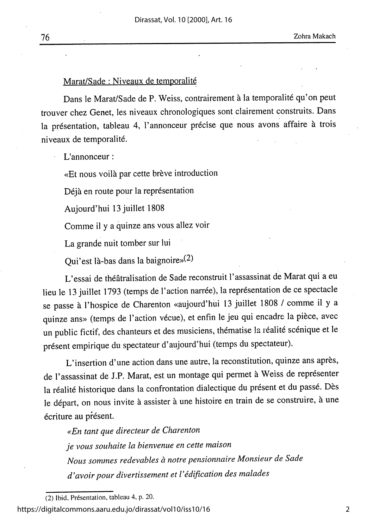#### Marat/Sade : Niveaux de temporalité

Dans le Marat/Sade de P. Weiss, contrairement à la temporalité qu'on peut trouver chez Genet, les niveaux chronologiques sont clairement construits. Dans la présentation, tableau 4, l'annonceur précise que nous avons affaire à trois niveaux de temporalité.

L'annonceur :

«Et nous voilà par cette brève introduction

Déjà en route pour la représentation

Aujourd'hui 13 juillet 1808

Comme il y a quinze ans vous allez voir

La grande nuit tomber sur lui

Qui'est là-bas dans la baignoire»(2)

L'essai de théâtralisation de Sade reconstruit l'assassinat de Marat qui a eu lieu le 13 juillet 1793 (temps de l'action narrée), la représentation de ce spectacle se passe à l'hospice de Charenton «aujourd'hui 13 juillet 1808 / comme il y a quinze ans» (temps de l'action vécue), et enfin le jeu qui encadre la pièce, avec un public fictif, des chanteurs et des musiciens, thématise la réalité scénique et le présent empirique du spectateur d'aujourd'hui (temps du spectateur).

L'insertion d'une action dans une autre, la reconstitution, quinze ans après, de l'assassinat de J.P. Marat, est un montage qui permet à Weiss de représenter la réalité historique dans la confrontation dialectique du présent et du passé. Dès le départ, on nous invite à assister à une histoire en train de se construire, à une écriture au présent.

«En tant que directeur de Charenton je vous souhaite la bienvenue en cette maison Nous sommes redevables à notre pensionnaire Monsieur de Sade d'avoir pour divertissement et l'édification des malades

<sup>(2)</sup> Ibid, Présentation, tableau 4, p. 20.

https://digitalcommons.aaru.edu.jo/dirassat/vol10/iss10/16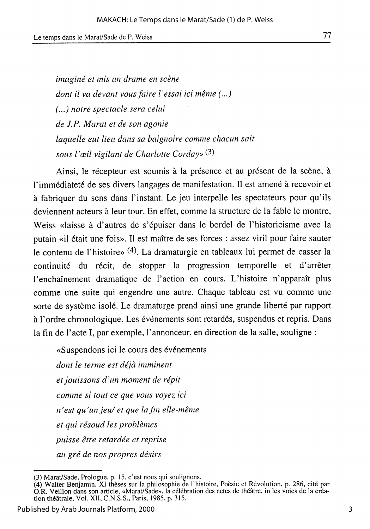imaginé et mis un drame en scène dont il va devant vous faire l'essai ici même (...) (...) notre spectacle sera celui de J.P. Marat et de son agonie laquelle eut lieu dans sa baignoire comme chacun sait sous l'œil vigilant de Charlotte Corday»<sup>(3)</sup>

Ainsi, le récepteur est soumis à la présence et au présent de la scène, à l'immédiateté de ses divers langages de manifestation. Il est amené à recevoir et à fabriquer du sens dans l'instant. Le jeu interpelle les spectateurs pour qu'ils deviennent acteurs à leur tour. En effet, comme la structure de la fable le montre, Weiss «laisse à d'autres de s'épuiser dans le bordel de l'historicisme avec la putain «il était une fois». Il est maître de ses forces : assez viril pour faire sauter le contenu de l'histoire» (4). La dramaturgie en tableaux lui permet de casser la continuité du récit, de stopper la progression temporelle et d'arrêter l'enchaînement dramatique de l'action en cours. L'histoire n'apparaît plus comme une suite qui engendre une autre. Chaque tableau est vu comme une sorte de système isolé. Le dramaturge prend ainsi une grande liberté par rapport à l'ordre chronologique. Les événements sont retardés, suspendus et repris. Dans la fin de l'acte I, par exemple, l'annonceur, en direction de la salle, souligne :

«Suspendons ici le cours des événements dont le terme est déjà imminent et jouissons d'un moment de répit comme si tout ce que vous voyez ici n'est qu'un jeu/ et que la fin elle-même et qui résoud les problèmes puisse être retardée et reprise au gré de nos propres désirs

<sup>(3)</sup> Marat/Sade, Prologue, p. 15, c'est nous qui soulignons.<br>(4) Walter Benjamin, XI thèses sur la philosophie de l'histoire, Poèsie et Révolution, p. 286, cité par (4) Wanter Benjamin, Art messes sur la philosophie de l'instonce, i oesie et Revolution, p. 200, ene par<br>O.R. Veillon dans son article, «Marat/Sade», la célébration des actes de théâtre, in les voies de la créa-<br>tion théât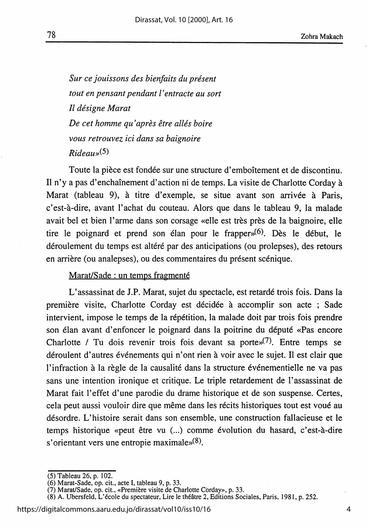Sur ce jouissons des bienfaits du présent tout en pensant pendant l'entracte au sort Il désigne Marat De cet homme qu'après être allés boire vous retrouvez ici dans sa baignoire  $Rideaus(5)$ 

78

Toute la pièce est fondée sur une structure d'emboîtement et de discontinu. Il n'y a pas d'enchaînement d'action ni de temps. La visite de Charlotte Corday à Marat (tableau 9), à titre d'exemple, se situe avant son arrivée à Paris, c'est-à-dire, avant l'achat du couteau. Alors que dans le tableau 9, la malade avait bel et bien l'arme dans son corsage «elle est très près de la baignoire, elle tire le poignard et prend son élan pour le frapper $(6)$ . Dès le début, le déroulement du temps est altéré par des anticipations (ou prolepses), des retours en arrière (ou analepses), ou des commentaires du présent scénique.

#### Marat/Sade : un temps fragmenté

L'assassinat de J.P. Marat, sujet du spectacle, est retardé trois fois. Dans la première visite, Charlotte Corday est décidée à accomplir son acte ; Sade intervient, impose le temps de la répétition, la malade doit par trois fois prendre son élan avant d'enfoncer le poignard dans la poitrine du député «Pas encore Charlotte / Tu dois revenir trois fois devant sa porte $\mathcal{N}^{(7)}$ . Entre temps se déroulent d'autres événements qui n'ont rien à voir avec le sujet. Il est clair que l'infraction à la règle de la causalité dans la structure événementielle ne va pas sans une intention ironique et critique. Le triple retardement de l'assassinat de Marat fait l'effet d'une parodie du drame historique et de son suspense. Certes, cela peut aussi vouloir dire que même dans les récits historiques tout est voué au désordre. L'histoire serait dans son ensemble, une construction fallacieuse et le temps historique «peut être vu (...) comme évolution du hasard, c'est-à-dire s'orientant vers une entropie maximale» $(8)$ .

<sup>(5)</sup> Tableau 26, p. 102.

<sup>(5)</sup> Tabieau 20, p. 102.<br>
(6) Marat-Sade, op. cit., acte I, tableau 9, p. 33.<br>
(7) Marat/Sade, op. cit., «Première visite de Charlotte Corday», p. 33.<br>
(8) A. Ubersfeld, L'école du spectateur, Lire le théâtre 2, Editions So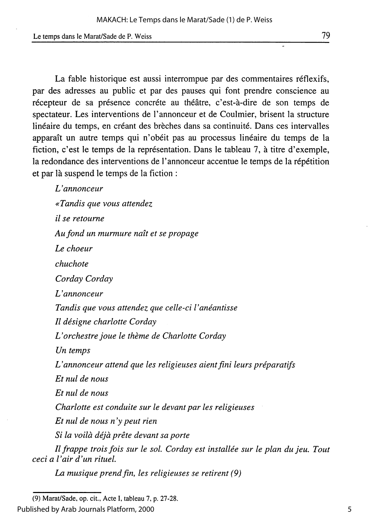La fable historique est aussi interrompue par des commentaires réflexifs, par des adresses au public et par des pauses qui font prendre conscience au récepteur de sa présence concréte au théâtre, c'est-à-dire de son temps de spectateur. Les interventions de l'annonceur et de Coulmier, brisent la structure linéaire du temps, en créant des brèches dans sa continuité. Dans ces intervalles apparaît un autre temps qui n'obéit pas au processus linéaire du temps de la fiction, c'est le temps de la représentation. Dans le tableau 7, à titre d'exemple, la redondance des interventions de l'annonceur accentue le temps de la répétition et par là suspend le temps de la fiction :

L'annonceur «Tandis que vous attendez il se retourne Au fond un murmure naît et se propage Le choeur chuchote Corday Corday L'annonceur Tandis que vous attendez que celle-ci l'anéantisse Il désigne charlotte Corday L'orchestre joue le thème de Charlotte Corday Un temps L'annonceur attend que les religieuses aient fini leurs préparatifs Et nul de nous Et nul de nous Charlotte est conduite sur le devant par les religieuses Et nul de nous  $n$ 'y peut rien Si la voilà déjà prête devant sa porte Il frappe trois fois sur le sol. Corday est installée sur le plan du jeu. Tout ceci a l'air d'un rituel.

La musique prend fin, les religieuses se retirent (9)

<sup>(9)</sup> Marat/Sade, op. cit., Acte I, tableau 7, p. 27-28.

Published by Arab Journals Platform, 2000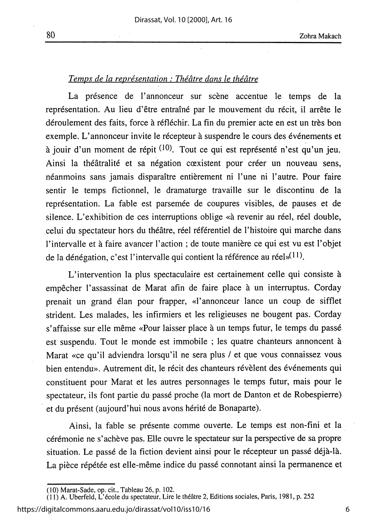### Temps de la représentation : Théâtre dans le théâtre

La présence de l'annonceur sur scène accentue le temps de la représentation. Au lieu d'être entraîné par le mouvement du récit, il arrête le déroulement des faits, force à réfléchir. La fin du premier acte en est un très bon exemple. L'annonceur invite le récepteur à suspendre le cours des événements et à jouir d'un moment de répit <sup>(10)</sup>. Tout ce qui est représenté n'est qu'un jeu. Ainsi la théâtralité et sa négation cœxistent pour créer un nouveau sens, néanmoins sans jamais disparaître entièrement ni l'une ni l'autre. Pour faire sentir le temps fictionnel, le dramaturge travaille sur le discontinu de la représentation. La fable est parsemée de coupures visibles, de pauses et de silence. L'exhibition de ces interruptions oblige «à revenir au réel, réel double, celui du spectateur hors du théâtre, réel référentiel de l'histoire qui marche dans l'intervalle et à faire avancer l'action ; de toute manière ce qui est vu est l'objet de la dénégation, c'est l'intervalle qui contient la référence au réel»(11).

L'intervention la plus spectaculaire est certainement celle qui consiste à empêcher l'assassinat de Marat afin de faire place à un interruptus. Corday prenait un grand élan pour frapper, «l'annonceur lance un coup de sifflet strident. Les malades, les infirmiers et les religieuses ne bougent pas. Corday s'affaisse sur elle même «Pour laisser place à un temps futur, le temps du passé est suspendu. Tout le monde est immobile ; les quatre chanteurs annoncent à Marat «ce qu'il adviendra lorsqu'il ne sera plus / et que vous connaissez vous bien entendu». Autrement dit, le récit des chanteurs révèlent des événements qui constituent pour Marat et les autres personnages le temps futur, mais pour le spectateur, ils font partie du passé proche (la mort de Danton et de Robespierre) et du présent (aujourd'hui nous avons hérité de Bonaparte).

Ainsi, la fable se présente comme ouverte. Le temps est non-fini et la cérémonie ne s'achève pas. Elle ouvre le spectateur sur la perspective de sa propre situation. Le passé de la fiction devient ainsi pour le récepteur un passé déjà-là. La pièce répétée est elle-même indice du passé connotant ainsi la permanence et

https://digitalcommons.aaru.edu.jo/dirassat/vol10/iss10/16

<sup>(10)</sup> Marat-Sade, op. cit., Tableau 26, p. 102.<br>(11) A. Uberfeld, L'école du spectateur, Lire le théâtre 2, Editions sociales, Paris, 1981, p. 252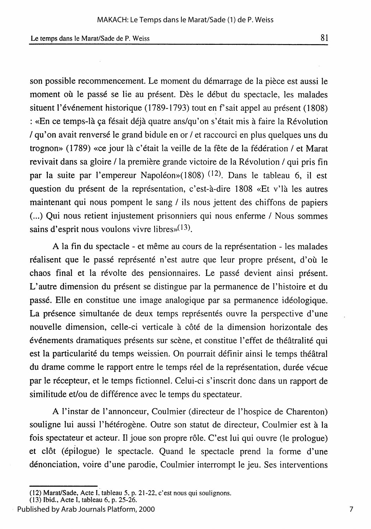son possible recommencement. Le moment du démarrage de la pièce est aussi le moment où le passé se lie au présent. Dès le début du spectacle, les malades situent l'événement historique (1789-1793) tout en f'sait appel au présent (1808) : «En ce temps-là ça fésait déjà quatre ans/qu'on s'était mis à faire la Révolution / qu'on avait renversé le grand bidule en or / et raccourci en plus quelques uns du trognon» (1789) «ce jour là c'était la veille de la fête de la fédération / et Marat revivait dans sa gloire / la première grande victoire de la Révolution / qui pris fin par la suite par l'empereur Napoléon»(1808) <sup>(12)</sup>. Dans le tableau 6, il est question du présent de la représentation, c'est-à-dire 1808 «Et v'là les autres maintenant qui nous pompent le sang / ils nous jettent des chiffons de papiers (...) Qui nous retient injustement prisonniers qui nous enferme / Nous sommes sains d'esprit nous voulons vivre libres» $(13)$ .

A la fin du spectacle - et même au cours de la représentation - les malades réalisent que le passé représenté n'est autre que leur propre présent, d'où le chaos final et la révolte des pensionnaires. Le passé devient ainsi présent. L'autre dimension du présent se distingue par la permanence de l'histoire et du passé. Elle en constitue une image analogique par sa permanence idéologique. La présence simultanée de deux temps représentés ouvre la perspective d'une nouvelle dimension, celle-ci verticale à côté de la dimension horizontale des événements dramatiques présents sur scène, et constitue l'effet de théâtralité qui est la particularité du temps weissien. On pourrait définir ainsi le temps théâtral du drame comme le rapport entre le temps réel de la représentation, durée vécue par le récepteur, et le temps fictionnel. Celui-ci s'inscrit donc dans un rapport de similitude et/ou de différence avec le temps du spectateur.

A l'instar de l'annonceur, Coulmier (directeur de l'hospice de Charenton) souligne lui aussi l'hétérogène. Outre son statut de directeur, Coulmier est à la fois spectateur et acteur. Il joue son propre rôle. C'est lui qui ouvre (le prologue) et clôt (épilogue) le spectacle. Quand le spectacle prend la forme d'une dénonciation, voire d'une parodie, Coulmier interrompt le jeu. Ses interventions

81

<sup>(12)</sup> Marat/Sade, Acte I, tableau 5, p. 21-22, c'est nous qui soulignons.<br>(13) Ibid., Acte I, tableau 6, p. 25-26.

Published by Arab Journals Platform, 2000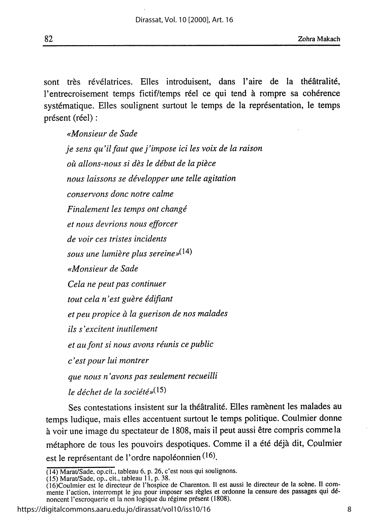82

sont très révélatrices. Elles introduisent, dans l'aire de la théâtralité, l'entrecroisement temps fictif/temps réel ce qui tend à rompre sa cohérence systématique. Elles soulignent surtout le temps de la représentation, le temps présent (réel) :

«Monsieur de Sade je sens qu'il faut que j'impose ici les voix de la raison où allons-nous si dès le début de la pièce nous laissons se développer une telle agitation conservons donc notre calme Finalement les temps ont changé et nous devrions nous efforcer de voir ces tristes incidents sous une lumière plus sereine»<sup>(14)</sup> «Monsieur de Sade Cela ne peut pas continuer tout cela n'est guère édifiant et peu propice à la guerison de nos malades ils s'excitent inutilement et au font si nous avons réunis ce public c'est pour lui montrer que nous n'avons pas seulement recueilli le déchet de la société» $(15)$ 

Ses contestations insistent sur la théâtralité. Elles ramènent les malades au temps ludique, mais elles accentuent surtout le temps politique. Coulmier donne à voir une image du spectateur de 1808, mais il peut aussi être compris comme la métaphore de tous les pouvoirs despotiques. Comme il a été déjà dit, Coulmier est le représentant de l'ordre napoléonnien (16).

https://digitalcommons.aaru.edu.jo/dirassat/vol10/iss10/16

<sup>(14)</sup> Marat/Sade, op.cit., tableau 6, p. 26, c'est nous qui soulignons.

<sup>(15)</sup> Marat/Sade, op., cit., tableau 11, p. 38.<br>
(16)Coulmier est le directeur de l'hospice de Charenton. Il est aussi le directeur de la scène. Il com-<br>
(16)Coulmier est le directeur de l'hospice de Charenton. Il est aussi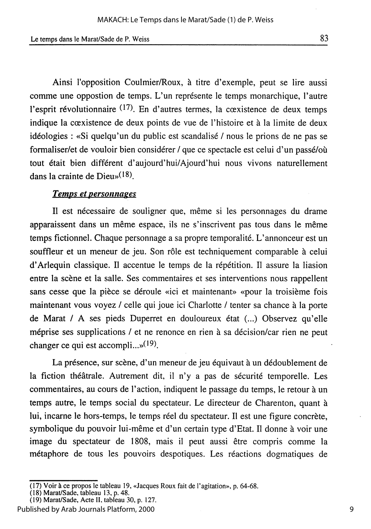Ainsi l'opposition Coulmier/Roux, à titre d'exemple, peut se lire aussi comme une oppostion de temps. L'un représente le temps monarchique, l'autre l'esprit révolutionnaire (17). En d'autres termes, la cœxistence de deux temps indique la cœxistence de deux points de vue de l'histoire et à la limite de deux idéologies : «Si quelqu'un du public est scandalisé / nous le prions de ne pas se formaliser/et de vouloir bien considérer / que ce spectacle est celui d'un passé/où tout était bien différent d'aujourd'hui/Ajourd'hui nous vivons naturellement dans la crainte de Dieu» $(18)$ .

#### **Temps et personnages**

Il est nécessaire de souligner que, même si les personnages du drame apparaissent dans un même espace, ils ne s'inscrivent pas tous dans le même temps fictionnel. Chaque personnage a sa propre temporalité. L'annonceur est un souffleur et un meneur de jeu. Son rôle est techniquement comparable à celui d'Arlequin classique. Il accentue le temps de la répétition. Il assure la liasion entre la scène et la salle. Ses commentaires et ses interventions nous rappellent sans cesse que la pièce se déroule «ici et maintenant» «pour la troisième fois maintenant vous voyez / celle qui joue ici Charlotte / tenter sa chance à la porte de Marat / A ses pieds Duperret en douloureux état (...) Observez qu'elle méprise ses supplications / et ne renonce en rien à sa décision/car rien ne peut changer ce qui est accompli... $\mathbf{y}^{(19)}$ .

La présence, sur scène, d'un meneur de jeu équivaut à un dédoublement de la fiction théâtrale. Autrement dit, il n'y a pas de sécurité temporelle. Les commentaires, au cours de l'action, indiquent le passage du temps, le retour à un temps autre, le temps social du spectateur. Le directeur de Charenton, quant à lui, incarne le hors-temps, le temps réel du spectateur. Il est une figure concrète, symbolique du pouvoir lui-même et d'un certain type d'Etat. Il donne à voir une image du spectateur de 1808, mais il peut aussi être compris comme la métaphore de tous les pouvoirs despotiques. Les réactions dogmatiques de

<sup>(17)</sup> Voir à ce propos le tableau 19, «Jacques Roux fait de l'agitation», p. 64-68.<br>(18) Marat/Sade, tableau 13, p. 48.

<sup>(19)</sup> Marat/Sade, Acte II, tableau 30, p. 127.

Published by Arab Journals Platform, 2000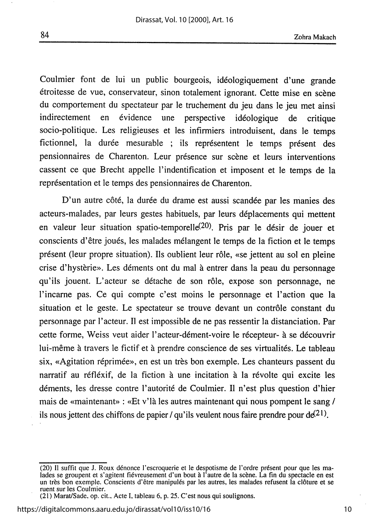Coulmier font de lui un public bourgeois, idéologiquement d'une grande étroitesse de vue, conservateur, sinon totalement ignorant. Cette mise en scène du comportement du spectateur par le truchement du jeu dans le jeu met ainsi indirectement en évidence une perspective idéologique de critique socio-politique. Les religieuses et les infirmiers introduisent, dans le temps fictionnel, la durée mesurable ; ils représentent le temps présent des pensionnaires de Charenton. Leur présence sur scène et leurs interventions cassent ce que Brecht appelle l'indentification et imposent et le temps de la représentation et le temps des pensionnaires de Charenton.

D'un autre côté, la durée du drame est aussi scandée par les manies des acteurs-malades, par leurs gestes habituels, par leurs déplacements qui mettent en valeur leur situation spatio-temporelle<sup>(20)</sup>. Pris par le désir de jouer et conscients d'être joués, les malades mélangent le temps de la fiction et le temps présent (leur propre situation). Ils oublient leur rôle, «se jettent au sol en pleine crise d'hystèrie». Les déments ont du mal à entrer dans la peau du personnage qu'ils jouent. L'acteur se détache de son rôle, expose son personnage, ne l'incarne pas. Ce qui compte c'est moins le personnage et l'action que la situation et le geste. Le spectateur se trouve devant un contrôle constant du personnage par l'acteur. Il est impossible de ne pas ressentir la distanciation. Par cette forme, Weiss veut aider l'acteur-dément-voire le récepteur- à se découvrir lui-même à travers le fictif et à prendre conscience de ses virtualités. Le tableau six, «Agitation réprimée», en est un très bon exemple. Les chanteurs passent du narratif au réfléxif, de la fiction à une incitation à la révolte qui excite les déments, les dresse contre l'autorité de Coulmier. Il n'est plus question d'hier mais de «maintenant» : «Et v'là les autres maintenant qui nous pompent le sang / ils nous jettent des chiffons de papier / qu'ils veulent nous faire prendre pour  $de^{(21)}$ .

<sup>(20)</sup> Il suffit que J. Roux dénonce l'escroquerie et le despotisme de l'ordre présent pour que les ma-<br>lades se groupent et s'agitent fiévreusement d'un bout à l'autre de la scène. La fin du spectacle en est un très bon exemple. Conscients d'être manipulés par les autres, les malades refusent la clôture et se ruent sur les Coulmier.

<sup>(21)</sup> Marat/Sade, op. cit., Acte I, tableau 6, p. 25. C'est nous qui soulignons.